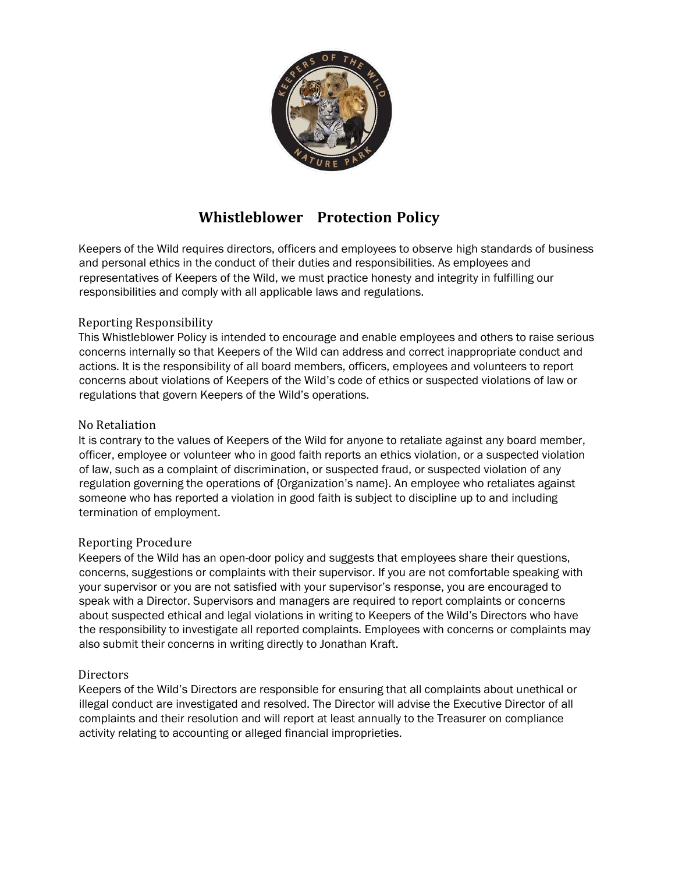

# **Whistleblower Protection Policy**

Keepers of the Wild requires directors, officers and employees to observe high standards of business and personal ethics in the conduct of their duties and responsibilities. As employees and representatives of Keepers of the Wild, we must practice honesty and integrity in fulfilling our responsibilities and comply with all applicable laws and regulations.

## Reporting Responsibility

This Whistleblower Policy is intended to encourage and enable employees and others to raise serious concerns internally so that Keepers of the Wild can address and correct inappropriate conduct and actions. It is the responsibility of all board members, officers, employees and volunteers to report concerns about violations of Keepers of the Wild's code of ethics or suspected violations of law or regulations that govern Keepers of the Wild's operations.

#### No Retaliation

It is contrary to the values of Keepers of the Wild for anyone to retaliate against any board member, officer, employee or volunteer who in good faith reports an ethics violation, or a suspected violation of law, such as a complaint of discrimination, or suspected fraud, or suspected violation of any regulation governing the operations of {Organization's name}. An employee who retaliates against someone who has reported a violation in good faith is subject to discipline up to and including termination of employment.

#### Reporting Procedure

Keepers of the Wild has an open-door policy and suggests that employees share their questions, concerns, suggestions or complaints with their supervisor. If you are not comfortable speaking with your supervisor or you are not satisfied with your supervisor's response, you are encouraged to speak with a Director. Supervisors and managers are required to report complaints or concerns about suspected ethical and legal violations in writing to Keepers of the Wild's Directors who have the responsibility to investigate all reported complaints. Employees with concerns or complaints may also submit their concerns in writing directly to Jonathan Kraft.

#### **Directors**

Keepers of the Wild's Directors are responsible for ensuring that all complaints about unethical or illegal conduct are investigated and resolved. The Director will advise the Executive Director of all complaints and their resolution and will report at least annually to the Treasurer on compliance activity relating to accounting or alleged financial improprieties.